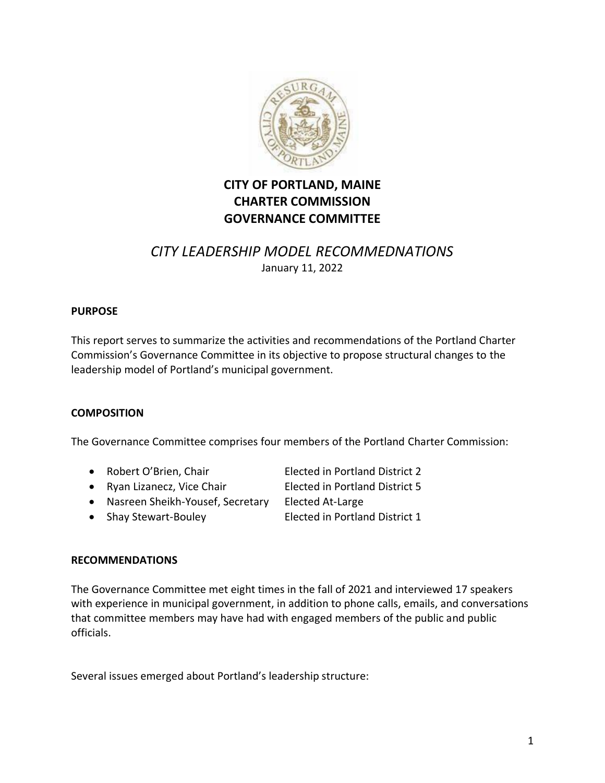

# **CITY OF PORTLAND, MAINE CHARTER COMMISSION GOVERNANCE COMMITTEE**

# *CITY LEADERSHIP MODEL RECOMMEDNATIONS* January 11, 2022

#### **PURPOSE**

This report serves to summarize the activities and recommendations of the Portland Charter Commission's Governance Committee in its objective to propose structural changes to the leadership model of Portland's municipal government.

#### **COMPOSITION**

The Governance Committee comprises four members of the Portland Charter Commission:

- Robert O'Brien, Chair Elected in Portland District 2
- Ryan Lizanecz, Vice Chair **Elected in Portland District 5**
- 
- Nasreen Sheikh-Yousef, Secretary Elected At-Large
	-
- Shay Stewart-Bouley Elected in Portland District 1
- 

#### **RECOMMENDATIONS**

The Governance Committee met eight times in the fall of 2021 and interviewed 17 speakers with experience in municipal government, in addition to phone calls, emails, and conversations that committee members may have had with engaged members of the public and public officials.

Several issues emerged about Portland's leadership structure: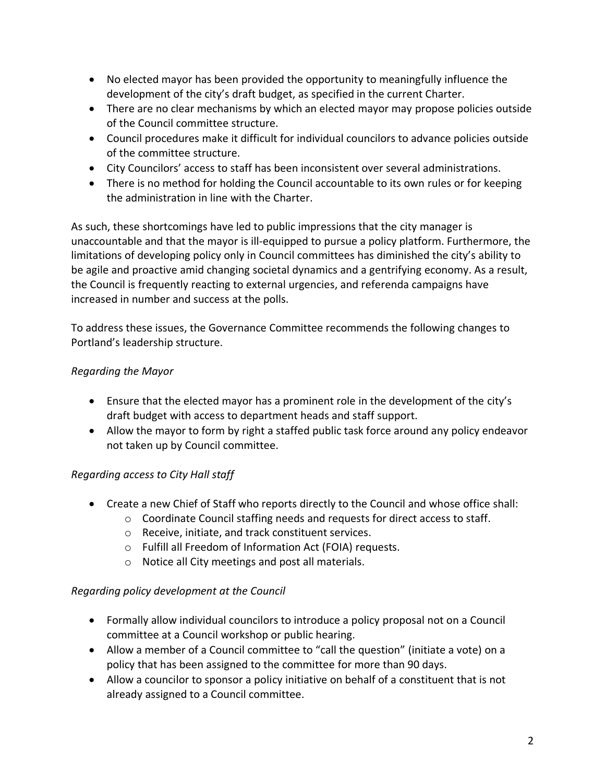- No elected mayor has been provided the opportunity to meaningfully influence the development of the city's draft budget, as specified in the current Charter.
- There are no clear mechanisms by which an elected mayor may propose policies outside of the Council committee structure.
- Council procedures make it difficult for individual councilors to advance policies outside of the committee structure.
- City Councilors' access to staff has been inconsistent over several administrations.
- There is no method for holding the Council accountable to its own rules or for keeping the administration in line with the Charter.

As such, these shortcomings have led to public impressions that the city manager is unaccountable and that the mayor is ill-equipped to pursue a policy platform. Furthermore, the limitations of developing policy only in Council committees has diminished the city's ability to be agile and proactive amid changing societal dynamics and a gentrifying economy. As a result, the Council is frequently reacting to external urgencies, and referenda campaigns have increased in number and success at the polls.

To address these issues, the Governance Committee recommends the following changes to Portland's leadership structure.

# *Regarding the Mayor*

- Ensure that the elected mayor has a prominent role in the development of the city's draft budget with access to department heads and staff support.
- Allow the mayor to form by right a staffed public task force around any policy endeavor not taken up by Council committee.

# *Regarding access to City Hall staff*

- Create a new Chief of Staff who reports directly to the Council and whose office shall:
	- o Coordinate Council staffing needs and requests for direct access to staff.
		- o Receive, initiate, and track constituent services.
	- o Fulfill all Freedom of Information Act (FOIA) requests.
	- o Notice all City meetings and post all materials.

# *Regarding policy development at the Council*

- Formally allow individual councilors to introduce a policy proposal not on a Council committee at a Council workshop or public hearing.
- Allow a member of a Council committee to "call the question" (initiate a vote) on a policy that has been assigned to the committee for more than 90 days.
- Allow a councilor to sponsor a policy initiative on behalf of a constituent that is not already assigned to a Council committee.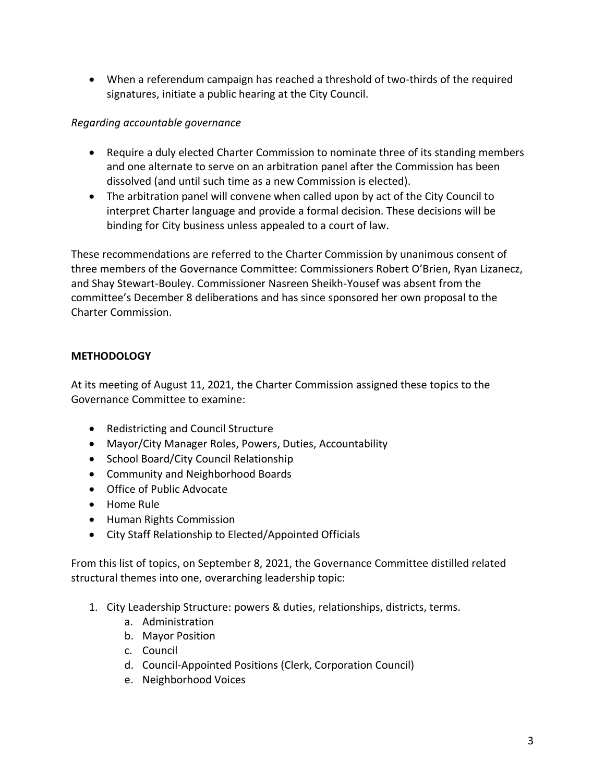• When a referendum campaign has reached a threshold of two-thirds of the required signatures, initiate a public hearing at the City Council.

### *Regarding accountable governance*

- Require a duly elected Charter Commission to nominate three of its standing members and one alternate to serve on an arbitration panel after the Commission has been dissolved (and until such time as a new Commission is elected).
- The arbitration panel will convene when called upon by act of the City Council to interpret Charter language and provide a formal decision. These decisions will be binding for City business unless appealed to a court of law.

These recommendations are referred to the Charter Commission by unanimous consent of three members of the Governance Committee: Commissioners Robert O'Brien, Ryan Lizanecz, and Shay Stewart-Bouley. Commissioner Nasreen Sheikh-Yousef was absent from the committee's December 8 deliberations and has since sponsored her own proposal to the Charter Commission.

# **METHODOLOGY**

At its meeting of August 11, 2021, the Charter Commission assigned these topics to the Governance Committee to examine:

- Redistricting and Council Structure
- Mayor/City Manager Roles, Powers, Duties, Accountability
- School Board/City Council Relationship
- Community and Neighborhood Boards
- Office of Public Advocate
- Home Rule
- Human Rights Commission
- City Staff Relationship to Elected/Appointed Officials

From this list of topics, on September 8, 2021, the Governance Committee distilled related structural themes into one, overarching leadership topic:

- 1. City Leadership Structure: powers & duties, relationships, districts, terms.
	- a. Administration
	- b. Mayor Position
	- c. Council
	- d. Council-Appointed Positions (Clerk, Corporation Council)
	- e. Neighborhood Voices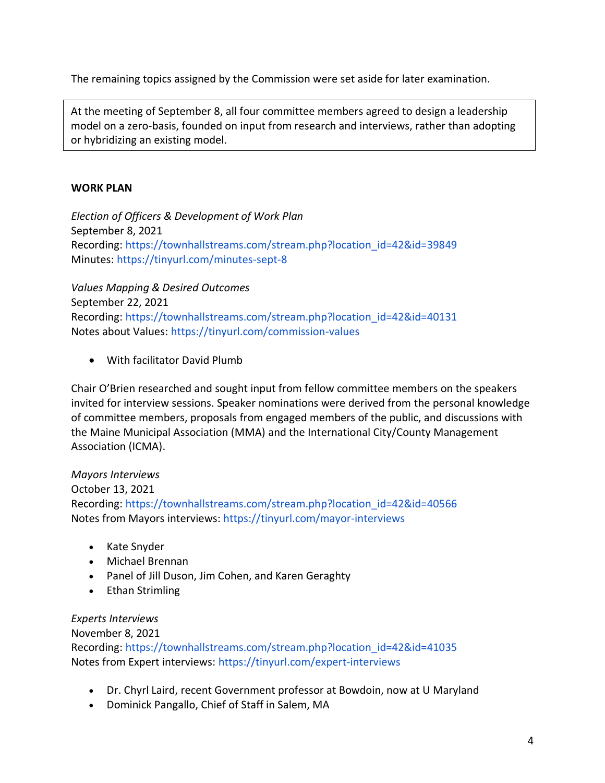The remaining topics assigned by the Commission were set aside for later examination.

At the meeting of September 8, all four committee members agreed to design a leadership model on a zero-basis, founded on input from research and interviews, rather than adopting or hybridizing an existing model.

# **WORK PLAN**

*Election of Officers & Development of Work Plan* September 8, 2021 Recording: https://townhallstreams.com/stream.php?location\_id=42&id=39849 Minutes: https://tinyurl.com/minutes-sept-8

*Values Mapping & Desired Outcomes* September 22, 2021 Recording: https://townhallstreams.com/stream.php?location\_id=42&id=40131 Notes about Values: https://tinyurl.com/commission-values

• With facilitator David Plumb

Chair O'Brien researched and sought input from fellow committee members on the speakers invited for interview sessions. Speaker nominations were derived from the personal knowledge of committee members, proposals from engaged members of the public, and discussions with the Maine Municipal Association (MMA) and the International City/County Management Association (ICMA).

# *Mayors Interviews*

October 13, 2021

Recording: https://townhallstreams.com/stream.php?location\_id=42&id=40566 Notes from Mayors interviews: https://tinyurl.com/mayor-interviews

- Kate Snyder
- Michael Brennan
- Panel of Jill Duson, Jim Cohen, and Karen Geraghty
- Ethan Strimling

#### *Experts Interviews*

November 8, 2021 Recording: https://townhallstreams.com/stream.php?location\_id=42&id=41035 Notes from Expert interviews: https://tinyurl.com/expert-interviews

- Dr. Chyrl Laird, recent Government professor at Bowdoin, now at U Maryland
- Dominick Pangallo, Chief of Staff in Salem, MA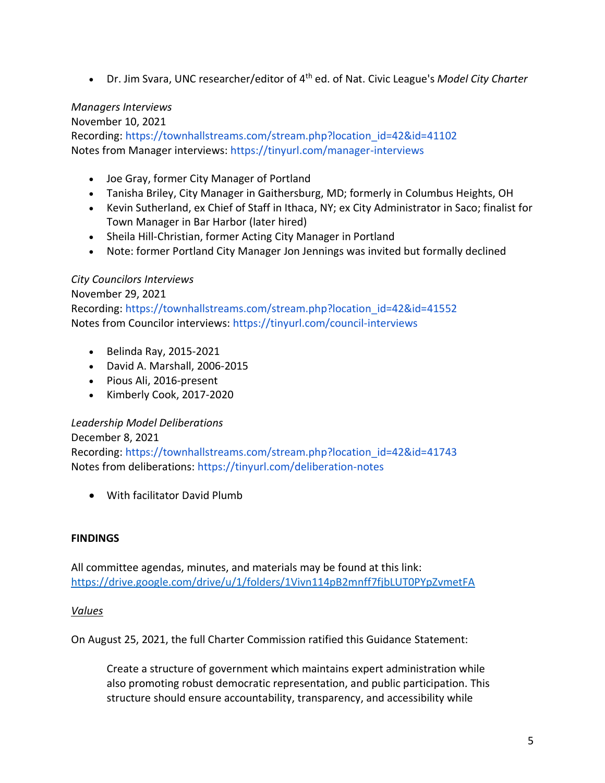• Dr. Jim Svara, UNC researcher/editor of 4<sup>th</sup> ed. of Nat. Civic League's *Model City Charter* 

#### *Managers Interviews*

November 10, 2021

Recording: https://townhallstreams.com/stream.php?location\_id=42&id=41102 Notes from Manager interviews: https://tinyurl.com/manager-interviews

- Joe Gray, former City Manager of Portland
- Tanisha Briley, City Manager in Gaithersburg, MD; formerly in Columbus Heights, OH
- Kevin Sutherland, ex Chief of Staff in Ithaca, NY; ex City Administrator in Saco; finalist for Town Manager in Bar Harbor (later hired)
- Sheila Hill-Christian, former Acting City Manager in Portland
- Note: former Portland City Manager Jon Jennings was invited but formally declined

### *City Councilors Interviews*

November 29, 2021 Recording: https://townhallstreams.com/stream.php?location\_id=42&id=41552 Notes from Councilor interviews: https://tinyurl.com/council-interviews

- Belinda Ray, 2015-2021
- David A. Marshall, 2006-2015
- Pious Ali, 2016-present
- Kimberly Cook, 2017-2020

#### *Leadership Model Deliberations*

December 8, 2021

Recording: https://townhallstreams.com/stream.php?location\_id=42&id=41743 Notes from deliberations: https://tinyurl.com/deliberation-notes

• With facilitator David Plumb

#### **FINDINGS**

All committee agendas, minutes, and materials may be found at this link: <https://drive.google.com/drive/u/1/folders/1Vivn114pB2mnff7fjbLUT0PYpZvmetFA>

#### *Values*

On August 25, 2021, the full Charter Commission ratified this Guidance Statement:

Create a structure of government which maintains expert administration while also promoting robust democratic representation, and public participation. This structure should ensure accountability, transparency, and accessibility while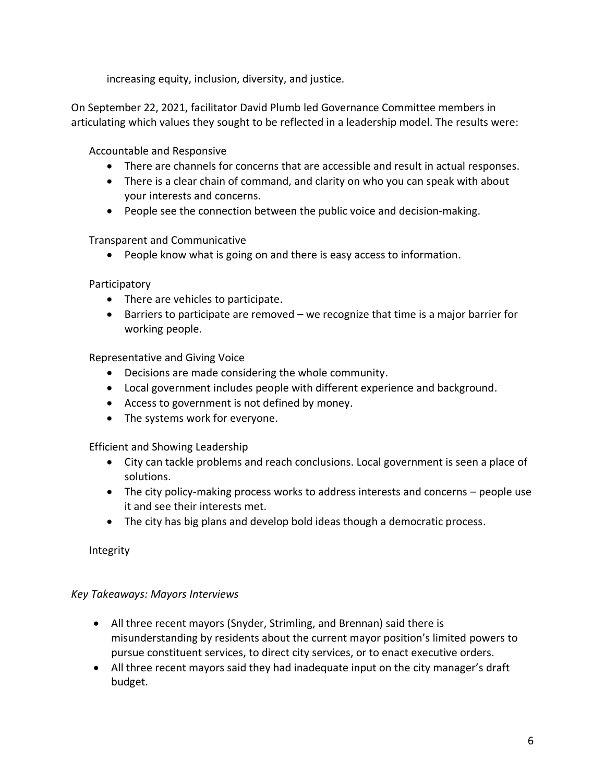increasing equity, inclusion, diversity, and justice.

On September 22, 2021, facilitator David Plumb led Governance Committee members in articulating which values they sought to be reflected in a leadership model. The results were:

Accountable and Responsive

- There are channels for concerns that are accessible and result in actual responses.
- There is a clear chain of command, and clarity on who you can speak with about your interests and concerns.
- People see the connection between the public voice and decision-making.

Transparent and Communicative

• People know what is going on and there is easy access to information.

Participatory

- There are vehicles to participate.
- Barriers to participate are removed we recognize that time is a major barrier for working people.

Representative and Giving Voice

- Decisions are made considering the whole community.
- Local government includes people with different experience and background.
- Access to government is not defined by money.
- The systems work for everyone.

Efficient and Showing Leadership

- City can tackle problems and reach conclusions. Local government is seen a place of solutions.
- The city policy-making process works to address interests and concerns people use it and see their interests met.
- The city has big plans and develop bold ideas though a democratic process.

Integrity

#### *Key Takeaways: Mayors Interviews*

- All three recent mayors (Snyder, Strimling, and Brennan) said there is misunderstanding by residents about the current mayor position's limited powers to pursue constituent services, to direct city services, or to enact executive orders.
- All three recent mayors said they had inadequate input on the city manager's draft budget.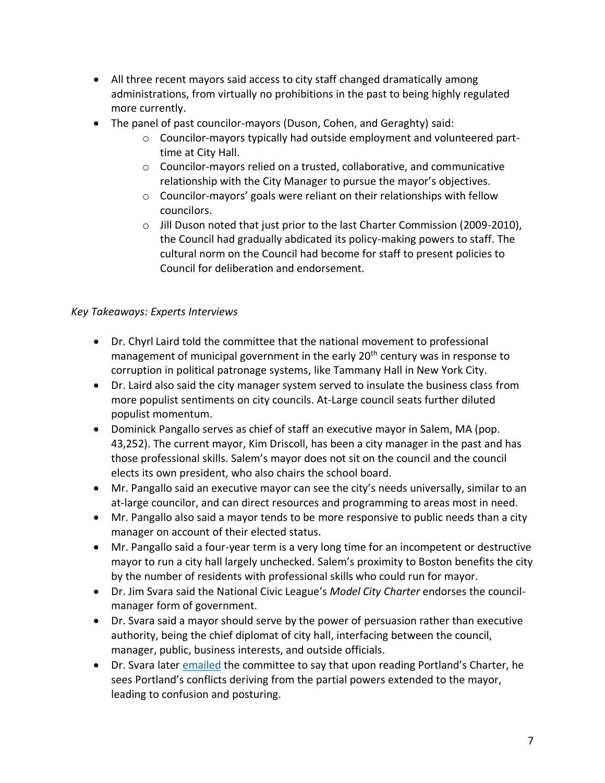- All three recent mayors said access to city staff changed dramatically among administrations, from virtually no prohibitions in the past to being highly regulated more currently.
- The panel of past councilor-mayors (Duson, Cohen, and Geraghty) said:
	- $\circ$  Councilor-mayors typically had outside employment and volunteered parttime at City Hall.
	- $\circ$  Councilor-mayors relied on a trusted, collaborative, and communicative relationship with the City Manager to pursue the mayor's objectives.
	- o Councilor-mayors' goals were reliant on their relationships with fellow councilors.
	- $\circ$  Jill Duson noted that just prior to the last Charter Commission (2009-2010), the Council had gradually abdicated its policy-making powers to staff. The cultural norm on the Council had become for staff to present policies to Council for deliberation and endorsement.

#### *Key Takeaways: Experts Interviews*

- Dr. Chyrl Laird told the committee that the national movement to professional management of municipal government in the early 20<sup>th</sup> century was in response to corruption in political patronage systems, like Tammany Hall in New York City.
- Dr. Laird also said the city manager system served to insulate the business class from more populist sentiments on city councils. At-Large council seats further diluted populist momentum.
- Dominick Pangallo serves as chief of staff an executive mayor in Salem, MA (pop. 43,252). The current mayor, Kim Driscoll, has been a city manager in the past and has those professional skills. Salem's mayor does not sit on the council and the council elects its own president, who also chairs the school board.
- Mr. Pangallo said an executive mayor can see the city's needs universally, similar to an at-large councilor, and can direct resources and programming to areas most in need.
- Mr. Pangallo also said a mayor tends to be more responsive to public needs than a city manager on account of their elected status.
- Mr. Pangallo said a four-year term is a very long time for an incompetent or destructive mayor to run a city hall largely unchecked. Salem's proximity to Boston benefits the city by the number of residents with professional skills who could run for mayor.
- Dr. Jim Svara said the National Civic League's *Model City Charter* endorses the councilmanager form of government.
- Dr. Svara said a mayor should serve by the power of persuasion rather than executive authority, being the chief diplomat of city hall, interfacing between the council, manager, public, business interests, and outside officials.
- Dr. Svara later [emailed](https://drive.google.com/file/d/1K1pLvrd_RfAigdnZa5WyMD_AtfP82bRm/view?usp=sharing) the committee to say that upon reading Portland's Charter, he sees Portland's conflicts deriving from the partial powers extended to the mayor, leading to confusion and posturing.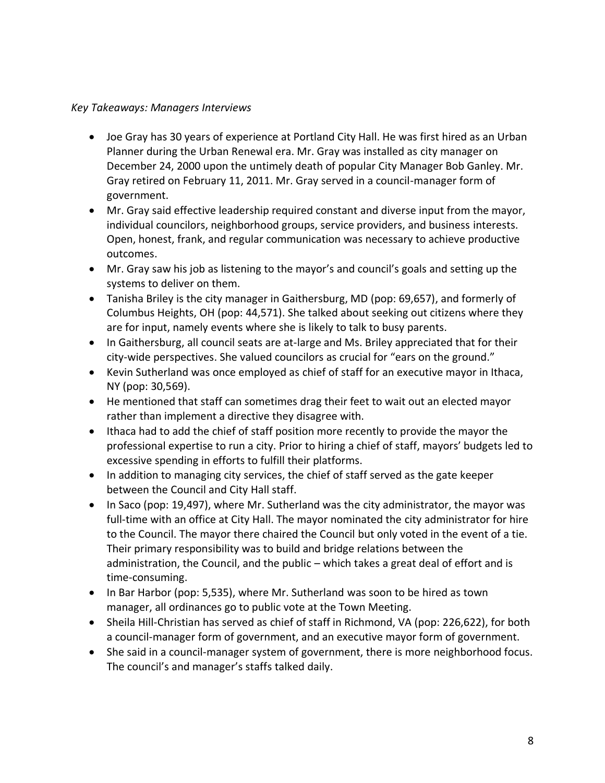#### *Key Takeaways: Managers Interviews*

- Joe Gray has 30 years of experience at Portland City Hall. He was first hired as an Urban Planner during the Urban Renewal era. Mr. Gray was installed as city manager on December 24, 2000 upon the untimely death of popular City Manager Bob Ganley. Mr. Gray retired on February 11, 2011. Mr. Gray served in a council-manager form of government.
- Mr. Gray said effective leadership required constant and diverse input from the mayor, individual councilors, neighborhood groups, service providers, and business interests. Open, honest, frank, and regular communication was necessary to achieve productive outcomes.
- Mr. Gray saw his job as listening to the mayor's and council's goals and setting up the systems to deliver on them.
- Tanisha Briley is the city manager in Gaithersburg, MD (pop: 69,657), and formerly of Columbus Heights, OH (pop: 44,571). She talked about seeking out citizens where they are for input, namely events where she is likely to talk to busy parents.
- In Gaithersburg, all council seats are at-large and Ms. Briley appreciated that for their city-wide perspectives. She valued councilors as crucial for "ears on the ground."
- Kevin Sutherland was once employed as chief of staff for an executive mayor in Ithaca, NY (pop: 30,569).
- He mentioned that staff can sometimes drag their feet to wait out an elected mayor rather than implement a directive they disagree with.
- Ithaca had to add the chief of staff position more recently to provide the mayor the professional expertise to run a city. Prior to hiring a chief of staff, mayors' budgets led to excessive spending in efforts to fulfill their platforms.
- In addition to managing city services, the chief of staff served as the gate keeper between the Council and City Hall staff.
- In Saco (pop: 19,497), where Mr. Sutherland was the city administrator, the mayor was full-time with an office at City Hall. The mayor nominated the city administrator for hire to the Council. The mayor there chaired the Council but only voted in the event of a tie. Their primary responsibility was to build and bridge relations between the administration, the Council, and the public – which takes a great deal of effort and is time-consuming.
- In Bar Harbor (pop: 5,535), where Mr. Sutherland was soon to be hired as town manager, all ordinances go to public vote at the Town Meeting.
- Sheila Hill-Christian has served as chief of staff in Richmond, VA (pop: 226,622), for both a council-manager form of government, and an executive mayor form of government.
- She said in a council-manager system of government, there is more neighborhood focus. The council's and manager's staffs talked daily.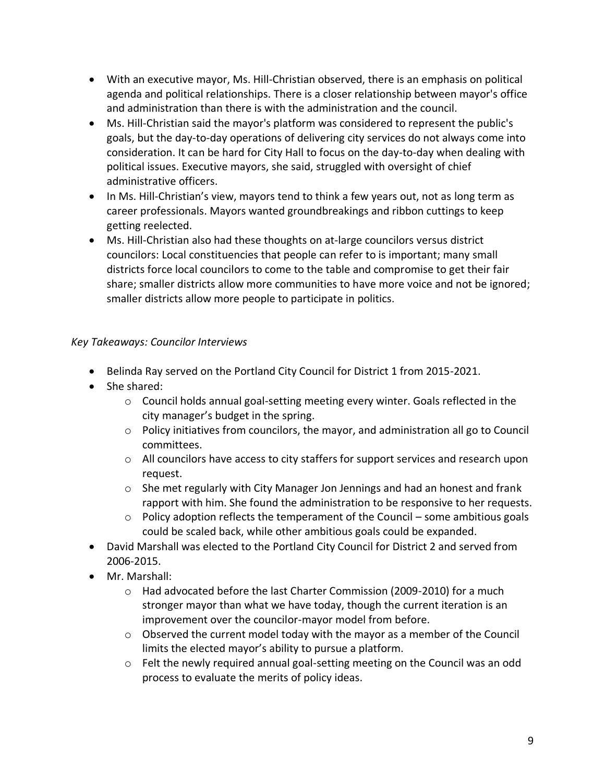- With an executive mayor, Ms. Hill-Christian observed, there is an emphasis on political agenda and political relationships. There is a closer relationship between mayor's office and administration than there is with the administration and the council.
- Ms. Hill-Christian said the mayor's platform was considered to represent the public's goals, but the day-to-day operations of delivering city services do not always come into consideration. It can be hard for City Hall to focus on the day-to-day when dealing with political issues. Executive mayors, she said, struggled with oversight of chief administrative officers.
- In Ms. Hill-Christian's view, mayors tend to think a few years out, not as long term as career professionals. Mayors wanted groundbreakings and ribbon cuttings to keep getting reelected.
- Ms. Hill-Christian also had these thoughts on at-large councilors versus district councilors: Local constituencies that people can refer to is important; many small districts force local councilors to come to the table and compromise to get their fair share; smaller districts allow more communities to have more voice and not be ignored; smaller districts allow more people to participate in politics.

# *Key Takeaways: Councilor Interviews*

- Belinda Ray served on the Portland City Council for District 1 from 2015-2021.
- She shared:
	- o Council holds annual goal-setting meeting every winter. Goals reflected in the city manager's budget in the spring.
	- $\circ$  Policy initiatives from councilors, the mayor, and administration all go to Council committees.
	- $\circ$  All councilors have access to city staffers for support services and research upon request.
	- o She met regularly with City Manager Jon Jennings and had an honest and frank rapport with him. She found the administration to be responsive to her requests.
	- $\circ$  Policy adoption reflects the temperament of the Council some ambitious goals could be scaled back, while other ambitious goals could be expanded.
- David Marshall was elected to the Portland City Council for District 2 and served from 2006-2015.
- Mr. Marshall:
	- $\circ$  Had advocated before the last Charter Commission (2009-2010) for a much stronger mayor than what we have today, though the current iteration is an improvement over the councilor-mayor model from before.
	- $\circ$  Observed the current model today with the mayor as a member of the Council limits the elected mayor's ability to pursue a platform.
	- o Felt the newly required annual goal-setting meeting on the Council was an odd process to evaluate the merits of policy ideas.